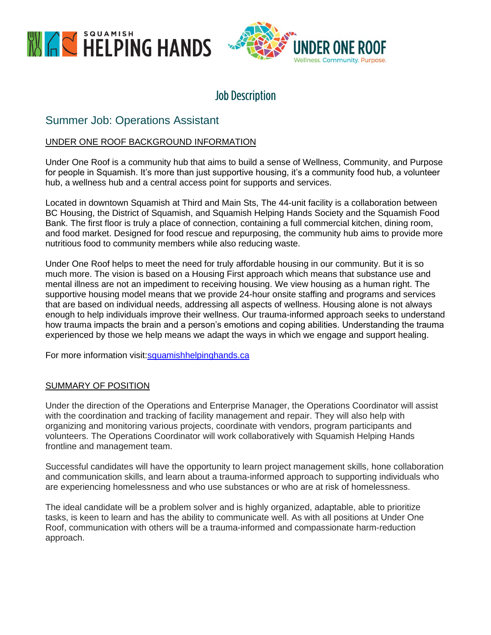



# **Job Description**

# Summer Job: Operations Assistant

# UNDER ONE ROOF BACKGROUND INFORMATION

Under One Roof is a community hub that aims to build a sense of Wellness, Community, and Purpose for people in Squamish. It's more than just supportive housing, it's a community food hub, a volunteer hub, a wellness hub and a central access point for supports and services.

Located in downtown Squamish at Third and Main Sts, The 44-unit facility is a collaboration between BC Housing, the District of Squamish, and Squamish Helping Hands Society and the Squamish Food Bank. The first floor is truly a place of connection, containing a full commercial kitchen, dining room, and food market. Designed for food rescue and repurposing, the community hub aims to provide more nutritious food to community members while also reducing waste.

Under One Roof helps to meet the need for truly affordable housing in our community. But it is so much more. The vision is based on a Housing First approach which means that substance use and mental illness are not an impediment to receiving housing. We view housing as a human right. The supportive housing model means that we provide 24-hour onsite staffing and programs and services that are based on individual needs, addressing all aspects of wellness. Housing alone is not always enough to help individuals improve their wellness. Our trauma-informed approach seeks to understand how trauma impacts the brain and a person's emotions and coping abilities. Understanding the trauma experienced by those we help means we adapt the ways in which we engage and support healing.

For more information visit:squamishhelpinghands.ca

#### SUMMARY OF POSITION

Under the direction of the Operations and Enterprise Manager, the Operations Coordinator will assist with the coordination and tracking of facility management and repair. They will also help with organizing and monitoring various projects, coordinate with vendors, program participants and volunteers. The Operations Coordinator will work collaboratively with Squamish Helping Hands frontline and management team.

Successful candidates will have the opportunity to learn project management skills, hone collaboration and communication skills, and learn about a trauma-informed approach to supporting individuals who are experiencing homelessness and who use substances or who are at risk of homelessness.

The ideal candidate will be a problem solver and is highly organized, adaptable, able to prioritize tasks, is keen to learn and has the ability to communicate well. As with all positions at Under One Roof, communication with others will be a trauma-informed and compassionate harm-reduction approach.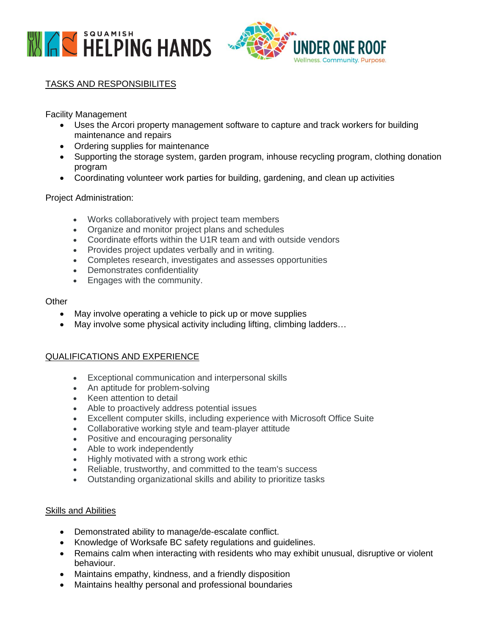



# TASKS AND RESPONSIBILITES

Facility Management

- Uses the Arcori property management software to capture and track workers for building maintenance and repairs
- Ordering supplies for maintenance
- Supporting the storage system, garden program, inhouse recycling program, clothing donation program
- Coordinating volunteer work parties for building, gardening, and clean up activities

#### Project Administration:

- Works collaboratively with project team members
- Organize and monitor project plans and schedules
- Coordinate efforts within the U1R team and with outside vendors
- Provides project updates verbally and in writing.
- Completes research, investigates and assesses opportunities
- Demonstrates confidentiality
- Engages with the community.

#### **Other**

- May involve operating a vehicle to pick up or move supplies
- May involve some physical activity including lifting, climbing ladders...

# QUALIFICATIONS AND EXPERIENCE

- Exceptional communication and interpersonal skills
- An aptitude for problem-solving
- Keen attention to detail
- Able to proactively address potential issues
- Excellent computer skills, including experience with Microsoft Office Suite
- Collaborative working style and team-player attitude
- Positive and encouraging personality
- Able to work independently
- Highly motivated with a strong work ethic
- Reliable, trustworthy, and committed to the team's success
- Outstanding organizational skills and ability to prioritize tasks

#### Skills and Abilities

- Demonstrated ability to manage/de-escalate conflict.
- Knowledge of Worksafe BC safety regulations and guidelines.
- Remains calm when interacting with residents who may exhibit unusual, disruptive or violent behaviour.
- Maintains empathy, kindness, and a friendly disposition
- Maintains healthy personal and professional boundaries